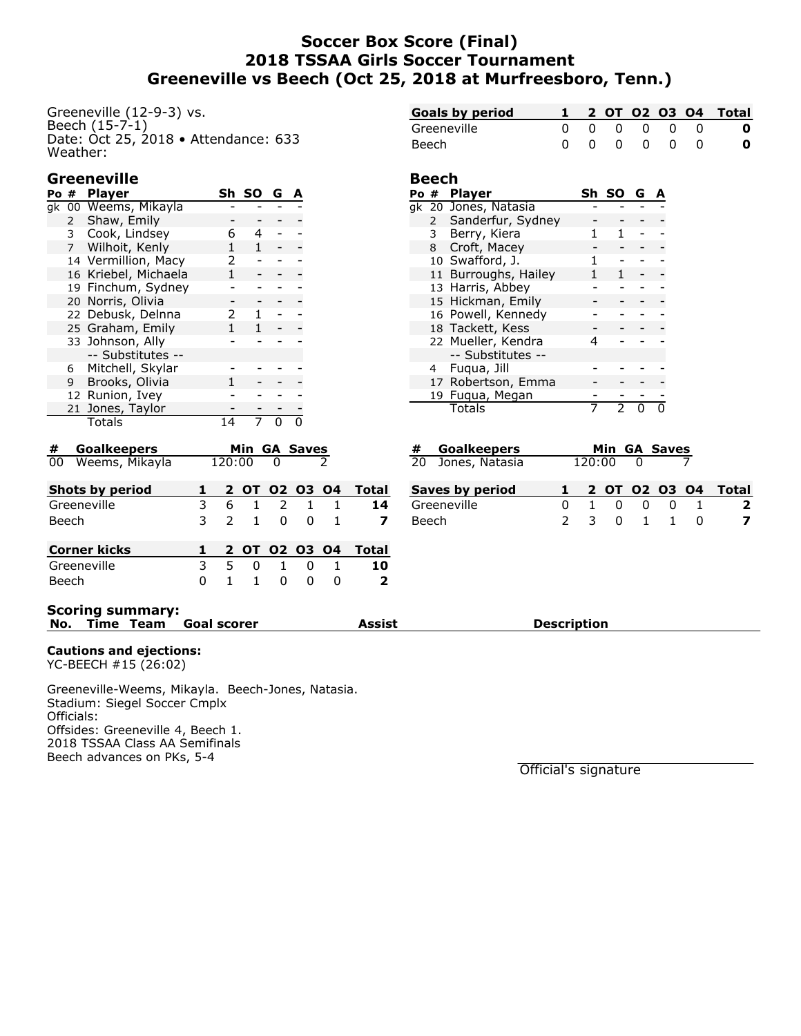## **Soccer Box Score (Final) 2018 TSSAA Girls Soccer Tournament Greeneville vs Beech (Oct 25, 2018 at Murfreesboro, Tenn.)**

Greeneville (12-9-3) vs. Beech  $(15-7-1)$ Date: Oct 25, 2018 • Attendance: 633 Weather:

## **Greeneville**

|    | Po #         | <b>Player</b>        | Sh. | SO. | G | А |
|----|--------------|----------------------|-----|-----|---|---|
| ak |              | 00 Weems, Mikayla    |     |     |   |   |
|    | $\mathbf{2}$ | Shaw, Emily          |     |     |   |   |
|    | $\mathbf{3}$ | Cook, Lindsey        | 6   | 4   |   |   |
|    |              | 7 Wilhoit, Kenly     |     |     |   |   |
|    |              | 14 Vermillion, Macy  | 2   |     |   |   |
|    |              | 16 Kriebel, Michaela | 1   |     |   |   |
|    |              | 19 Finchum, Sydney   |     |     |   |   |
|    |              | 20 Norris, Olivia    |     |     |   |   |
|    |              | 22 Debusk, Delnna    | 2   |     |   |   |
|    |              | 25 Graham, Emily     |     |     |   |   |
|    |              | 33 Johnson, Ally     |     |     |   |   |
|    |              | -- Substitutes --    |     |     |   |   |
|    |              | 6 Mitchell, Skylar   |     |     |   |   |
|    |              | 9 Brooks, Olivia     |     |     |   |   |
|    |              | 12 Runion, Ivey      |     |     |   |   |
|    |              | 21 Jones, Taylor     |     |     |   |   |
|    |              | Totals               |     |     |   |   |
|    |              |                      |     |     |   |   |

| <b>Goals by period</b> |  |  |  | 1 2 0T 02 03 04 Total                  |
|------------------------|--|--|--|----------------------------------------|
| Greeneville            |  |  |  | $0\quad 0\quad 0\quad 0\quad 0\quad 0$ |
| Beech                  |  |  |  | 0000000                                |

#### **Beech**

| Po #           | <b>Player</b>        | Sh | <b>SO</b> | G |  |
|----------------|----------------------|----|-----------|---|--|
|                | gk 20 Jones, Natasia |    |           |   |  |
| $2 \quad$      | Sanderfur, Sydney    |    |           |   |  |
| 3 <sup>7</sup> | Berry, Kiera         |    |           |   |  |
| 8              | Croft, Macey         |    |           |   |  |
|                | 10 Swafford, J.      | 1  |           |   |  |
|                | 11 Burroughs, Hailey | 1. | 1         |   |  |
|                | 13 Harris, Abbey     |    |           |   |  |
|                | 15 Hickman, Emily    |    |           |   |  |
|                | 16 Powell, Kennedy   |    |           |   |  |
|                | 18 Tackett, Kess     |    |           |   |  |
|                | 22 Mueller, Kendra   |    |           |   |  |
|                | -- Substitutes --    |    |           |   |  |
| 4              | Fuqua, Jill          |    |           |   |  |
|                | 17 Robertson, Emma   |    |           |   |  |
|                | 19 Fuqua, Megan      |    |           |   |  |
|                | Totals               |    |           |   |  |

| #     | <b>Goalkeepers</b>  |   |              |              |                         | Min GA Saves  |              |                |
|-------|---------------------|---|--------------|--------------|-------------------------|---------------|--------------|----------------|
| 00    | Weems, Mikayla      |   | 120:00       |              | 0                       |               |              |                |
|       | Shots by period     | 1 |              |              |                         | 2 OT 02 03 04 |              | <b>Total</b>   |
|       | Greeneville         | 3 | 6.           | $\mathbf{1}$ | $\overline{\mathbf{2}}$ | $\mathbf{1}$  |              | 14             |
| Beech |                     | 3 |              | $2 \quad 1$  | $\Omega$                | $\Omega$      |              |                |
|       | <b>Corner kicks</b> |   |              |              |                         | 2 OT 02 03 04 |              | Total          |
|       | Greeneville         | 3 | 5.           | 0            | 1                       | 0             | $\mathbf{1}$ | 10             |
| Beech |                     | 0 | $\mathbf{1}$ | 1            | 0                       | O             | O            | $\overline{2}$ |
|       |                     |   |              |              |                         |               |              |                |

| # Goalkeepers     |  |            | Min GA Saves                                                       |                       |
|-------------------|--|------------|--------------------------------------------------------------------|-----------------------|
| 20 Jones, Natasia |  | $120:00$ 0 |                                                                    |                       |
| Saves by period   |  |            |                                                                    | 1 2 0T 02 03 04 Total |
| Croonovillo       |  |            | $\begin{array}{ccccccccccccccccc}\n1 & 0 & 0 & 0 & 1\n\end{array}$ |                       |

| Saves by period to a to a coll O2 O3 O4 Total |  |  |  |               |
|-----------------------------------------------|--|--|--|---------------|
| Greeneville                                   |  |  |  | 0 1 0 0 0 1 2 |
| Beech                                         |  |  |  | 2 3 0 1 1 0 7 |

#### **Scoring summary: No. Time Team Goal scorer Assist Description**

#### **Cautions and ejections:**

YC-BEECH #15 (26:02)

Greeneville-Weems, Mikayla. Beech-Jones, Natasia. Stadium: Siegel Soccer Cmplx Officials: Offsides: Greeneville 4, Beech 1. 2018 TSSAA Class AA Semifinals Beech advances on PKs, 5-4

Official's signature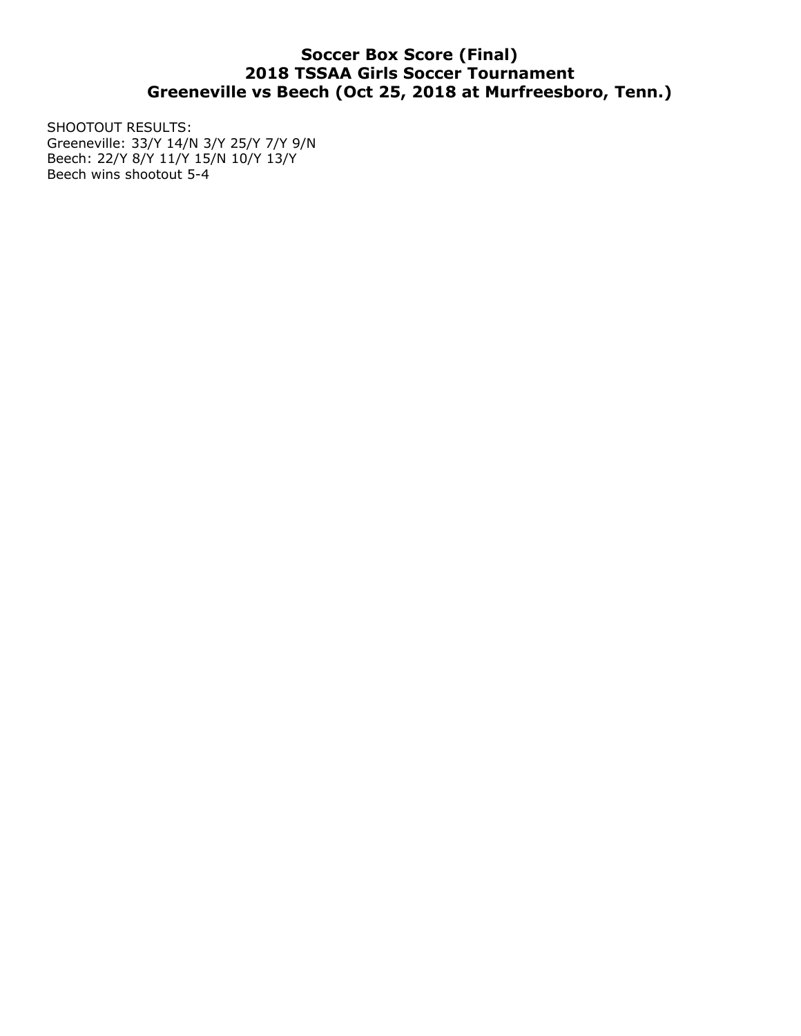# **Soccer Box Score (Final) 2018 TSSAA Girls Soccer Tournament Greeneville vs Beech (Oct 25, 2018 at Murfreesboro, Tenn.)**

SHOOTOUT RESULTS: Greeneville: 33/Y 14/N 3/Y 25/Y 7/Y 9/N Beech: 22/Y 8/Y 11/Y 15/N 10/Y 13/Y Beech wins shootout 5-4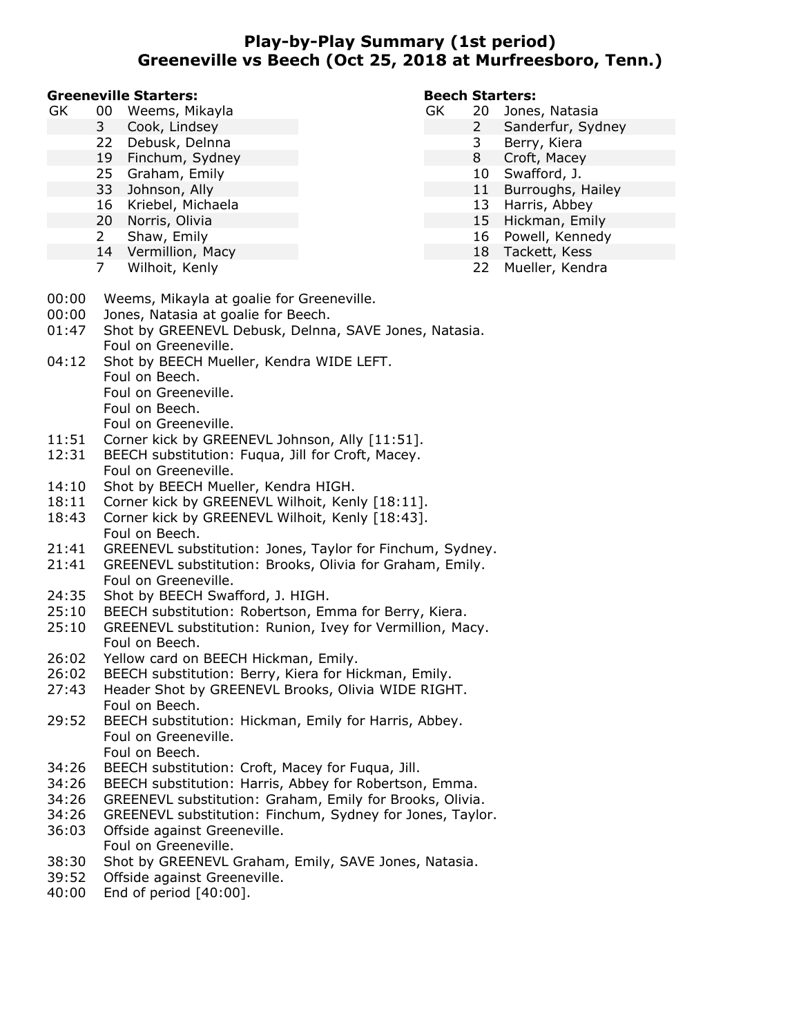## **Play-by-Play Summary (1st period) Greeneville vs Beech (Oct 25, 2018 at Murfreesboro, Tenn.)**

#### **Greeneville Starters:**

| GK | 00 | Weems, Mikayla |  |  |
|----|----|----------------|--|--|
|----|----|----------------|--|--|

- 3 Cook, Lindsey
- 22 Debusk, Delnna<br>19 Finchum, Svdne
- Finchum, Sydney
- 25 Graham, Emily
- 33 Johnson, Ally
- 16 Kriebel, Michaela
- 20 Norris, Olivia
- 2 Shaw, Emily
- 14 Vermillion, Macy
- 7 Wilhoit, Kenly

#### **Beech Starters:**

- GK 20 Jones, Natasia
	- 2 Sanderfur, Sydney
		- 3 Berry, Kiera
		- 8 Croft, Macey
		- 10 Swafford, J.
		- 11 Burroughs, Hailey
		- 13 Harris, Abbey
		- 15 Hickman, Emily
		- 16 Powell, Kennedy
		- 18 Tackett, Kess
			- 22 Mueller, Kendra
- 00:00 Weems, Mikayla at goalie for Greeneville.
- 00:00 Jones, Natasia at goalie for Beech.
- 01:47 Shot by GREENEVL Debusk, Delnna, SAVE Jones, Natasia. Foul on Greeneville.
- 04:12 Shot by BEECH Mueller, Kendra WIDE LEFT. Foul on Beech. Foul on Greeneville.
	- Foul on Beech.
	- Foul on Greeneville.
- 11:51 Corner kick by GREENEVL Johnson, Ally [11:51].
- 12:31 BEECH substitution: Fuqua, Jill for Croft, Macey. Foul on Greeneville.
- 14:10 Shot by BEECH Mueller, Kendra HIGH.
- 18:11 Corner kick by GREENEVL Wilhoit, Kenly [18:11].
- 18:43 Corner kick by GREENEVL Wilhoit, Kenly [18:43]. Foul on Beech.
- 21:41 GREENEVL substitution: Jones, Taylor for Finchum, Sydney.
- 21:41 GREENEVL substitution: Brooks, Olivia for Graham, Emily. Foul on Greeneville.
- 24:35 Shot by BEECH Swafford, J. HIGH.
- 25:10 BEECH substitution: Robertson, Emma for Berry, Kiera.
- 25:10 GREENEVL substitution: Runion, Ivey for Vermillion, Macy. Foul on Beech.
- 26:02 Yellow card on BEECH Hickman, Emily.
- 26:02 BEECH substitution: Berry, Kiera for Hickman, Emily.
- 27:43 Header Shot by GREENEVL Brooks, Olivia WIDE RIGHT. Foul on Beech.
- 29:52 BEECH substitution: Hickman, Emily for Harris, Abbey. Foul on Greeneville. Foul on Beech.
- 34:26 BEECH substitution: Croft, Macey for Fuqua, Jill.
- 34:26 BEECH substitution: Harris, Abbey for Robertson, Emma.
- 34:26 GREENEVL substitution: Graham, Emily for Brooks, Olivia.
- 34:26 GREENEVL substitution: Finchum, Sydney for Jones, Taylor.
- 36:03 Offside against Greeneville. Foul on Greeneville.
- 38:30 Shot by GREENEVL Graham, Emily, SAVE Jones, Natasia.
- 39:52 Offside against Greeneville.
- 40:00 End of period [40:00].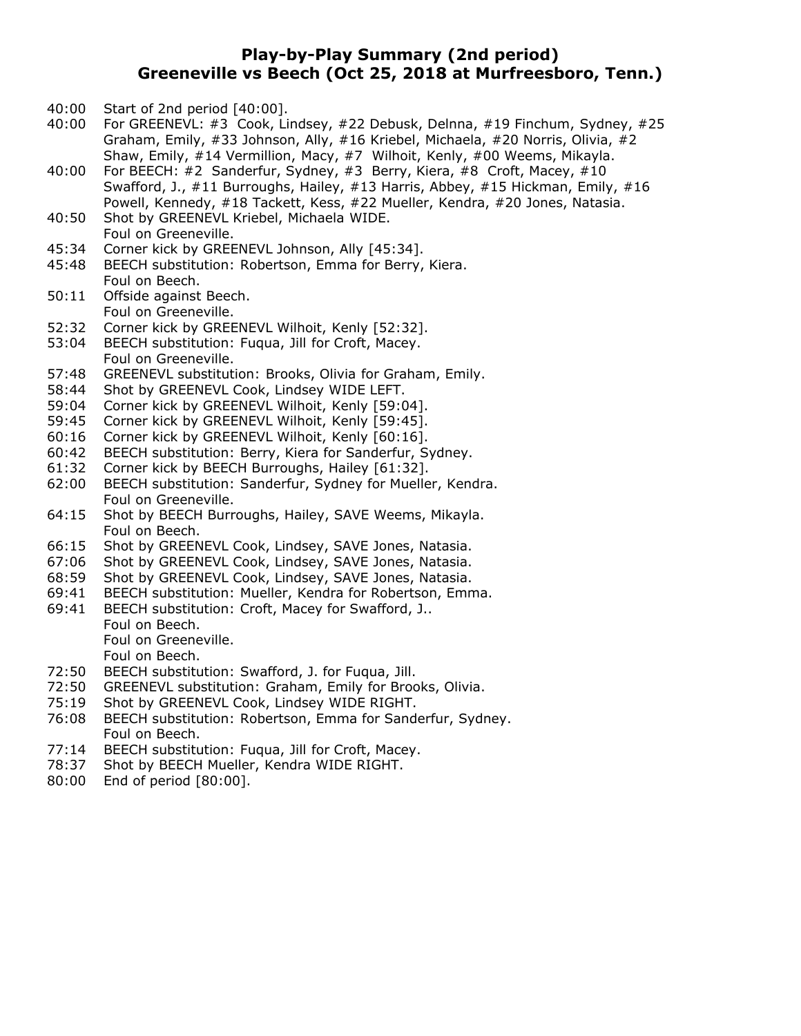### **Play-by-Play Summary (2nd period) Greeneville vs Beech (Oct 25, 2018 at Murfreesboro, Tenn.)**

- 40:00 Start of 2nd period [40:00].
- 40:00 For GREENEVL: #3 Cook, Lindsey, #22 Debusk, Delnna, #19 Finchum, Sydney, #25 Graham, Emily, #33 Johnson, Ally, #16 Kriebel, Michaela, #20 Norris, Olivia, #2 Shaw, Emily, #14 Vermillion, Macy, #7 Wilhoit, Kenly, #00 Weems, Mikayla.
- 40:00 For BEECH: #2 Sanderfur, Sydney, #3 Berry, Kiera, #8 Croft, Macey, #10 Swafford, J., #11 Burroughs, Hailey, #13 Harris, Abbey, #15 Hickman, Emily, #16 Powell, Kennedy, #18 Tackett, Kess, #22 Mueller, Kendra, #20 Jones, Natasia.
- 40:50 Shot by GREENEVL Kriebel, Michaela WIDE. Foul on Greeneville.
- 45:34 Corner kick by GREENEVL Johnson, Ally [45:34].
- 45:48 BEECH substitution: Robertson, Emma for Berry, Kiera. Foul on Beech.
- 50:11 Offside against Beech. Foul on Greeneville.
- 52:32 Corner kick by GREENEVL Wilhoit, Kenly [52:32].
- 53:04 BEECH substitution: Fuqua, Jill for Croft, Macey. Foul on Greeneville.
- 57:48 GREENEVL substitution: Brooks, Olivia for Graham, Emily.
- 58:44 Shot by GREENEVL Cook, Lindsey WIDE LEFT.
- 59:04 Corner kick by GREENEVL Wilhoit, Kenly [59:04].
- 59:45 Corner kick by GREENEVL Wilhoit, Kenly [59:45].
- 60:16 Corner kick by GREENEVL Wilhoit, Kenly [60:16].
- 60:42 BEECH substitution: Berry, Kiera for Sanderfur, Sydney.
- 61:32 Corner kick by BEECH Burroughs, Hailey [61:32].
- 62:00 BEECH substitution: Sanderfur, Sydney for Mueller, Kendra. Foul on Greeneville.
- 64:15 Shot by BEECH Burroughs, Hailey, SAVE Weems, Mikayla. Foul on Beech.
- 66:15 Shot by GREENEVL Cook, Lindsey, SAVE Jones, Natasia.
- 67:06 Shot by GREENEVL Cook, Lindsey, SAVE Jones, Natasia.
- 68:59 Shot by GREENEVL Cook, Lindsey, SAVE Jones, Natasia.
- 69:41 BEECH substitution: Mueller, Kendra for Robertson, Emma.
- 69:41 BEECH substitution: Croft, Macey for Swafford, J.. Foul on Beech. Foul on Greeneville. Foul on Beech.
- 72:50 BEECH substitution: Swafford, J. for Fuqua, Jill.
- 72:50 GREENEVL substitution: Graham, Emily for Brooks, Olivia.
- 75:19 Shot by GREENEVL Cook, Lindsey WIDE RIGHT.
- 76:08 BEECH substitution: Robertson, Emma for Sanderfur, Sydney. Foul on Beech.
- 77:14 BEECH substitution: Fuqua, Jill for Croft, Macey.
- 78:37 Shot by BEECH Mueller, Kendra WIDE RIGHT.
- 80:00 End of period [80:00].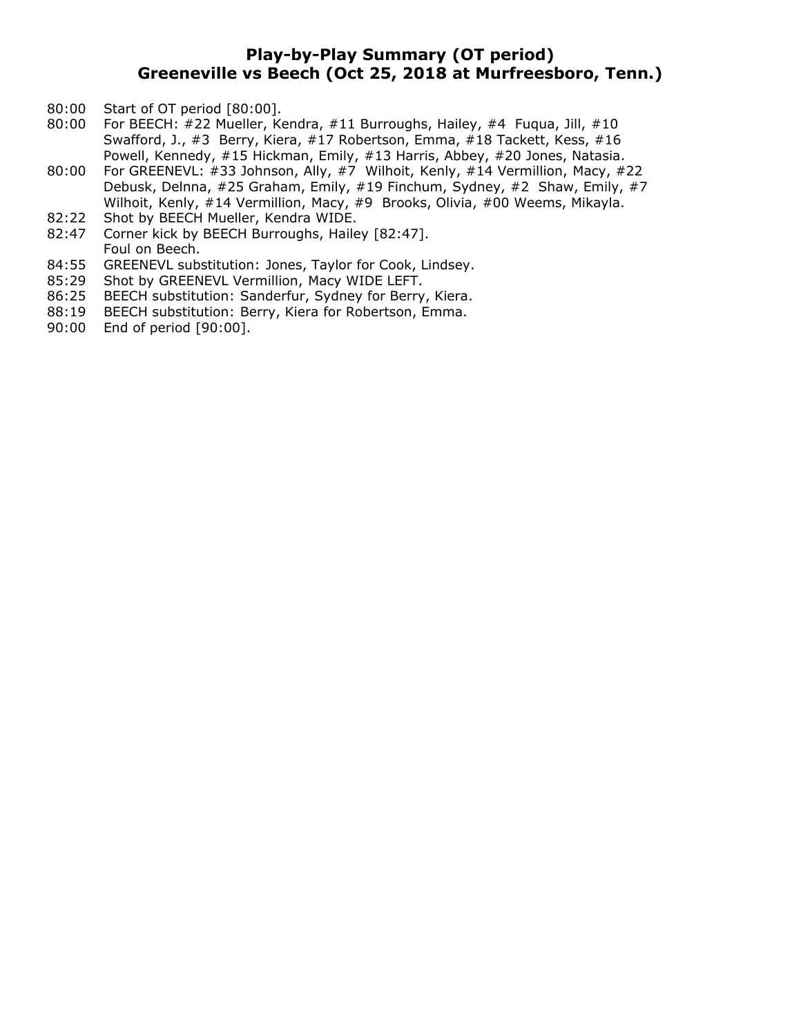## **Play-by-Play Summary (OT period) Greeneville vs Beech (Oct 25, 2018 at Murfreesboro, Tenn.)**

- 80:00 Start of OT period [80:00].
- 80:00 For BEECH: #22 Mueller, Kendra, #11 Burroughs, Hailey, #4 Fuqua, Jill, #10 Swafford, J., #3 Berry, Kiera, #17 Robertson, Emma, #18 Tackett, Kess, #16 Powell, Kennedy, #15 Hickman, Emily, #13 Harris, Abbey, #20 Jones, Natasia.
- 80:00 For GREENEVL: #33 Johnson, Ally, #7 Wilhoit, Kenly, #14 Vermillion, Macy, #22 Debusk, Delnna, #25 Graham, Emily, #19 Finchum, Sydney, #2 Shaw, Emily, #7 Wilhoit, Kenly, #14 Vermillion, Macy, #9 Brooks, Olivia, #00 Weems, Mikayla.
- 82:22 Shot by BEECH Mueller, Kendra WIDE.
- 82:47 Corner kick by BEECH Burroughs, Hailey [82:47]. Foul on Beech.
- 84:55 GREENEVL substitution: Jones, Taylor for Cook, Lindsey.
- 85:29 Shot by GREENEVL Vermillion, Macy WIDE LEFT.
- 86:25 BEECH substitution: Sanderfur, Sydney for Berry, Kiera.
- 88:19 BEECH substitution: Berry, Kiera for Robertson, Emma.
- 90:00 End of period [90:00].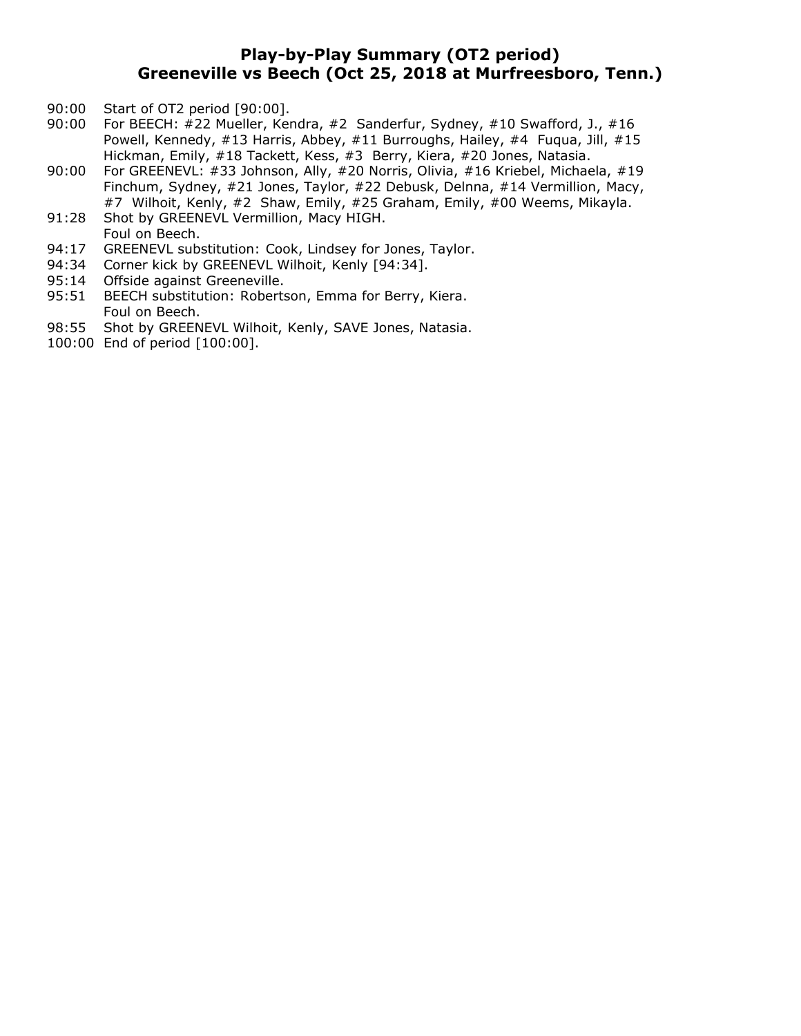## **Play-by-Play Summary (OT2 period) Greeneville vs Beech (Oct 25, 2018 at Murfreesboro, Tenn.)**

- 90:00 Start of OT2 period [90:00].
- 90:00 For BEECH: #22 Mueller, Kendra, #2 Sanderfur, Sydney, #10 Swafford, J., #16 Powell, Kennedy, #13 Harris, Abbey, #11 Burroughs, Hailey, #4 Fuqua, Jill, #15 Hickman, Emily, #18 Tackett, Kess, #3 Berry, Kiera, #20 Jones, Natasia.
- 90:00 For GREENEVL: #33 Johnson, Ally, #20 Norris, Olivia, #16 Kriebel, Michaela, #19 Finchum, Sydney, #21 Jones, Taylor, #22 Debusk, Delnna, #14 Vermillion, Macy, #7 Wilhoit, Kenly, #2 Shaw, Emily, #25 Graham, Emily, #00 Weems, Mikayla.
- 91:28 Shot by GREENEVL Vermillion, Macy HIGH. Foul on Beech.
- 94:17 GREENEVL substitution: Cook, Lindsey for Jones, Taylor.
- 94:34 Corner kick by GREENEVL Wilhoit, Kenly [94:34].
- 95:14 Offside against Greeneville.
- 95:51 BEECH substitution: Robertson, Emma for Berry, Kiera. Foul on Beech.
- 98:55 Shot by GREENEVL Wilhoit, Kenly, SAVE Jones, Natasia.
- 100:00 End of period [100:00].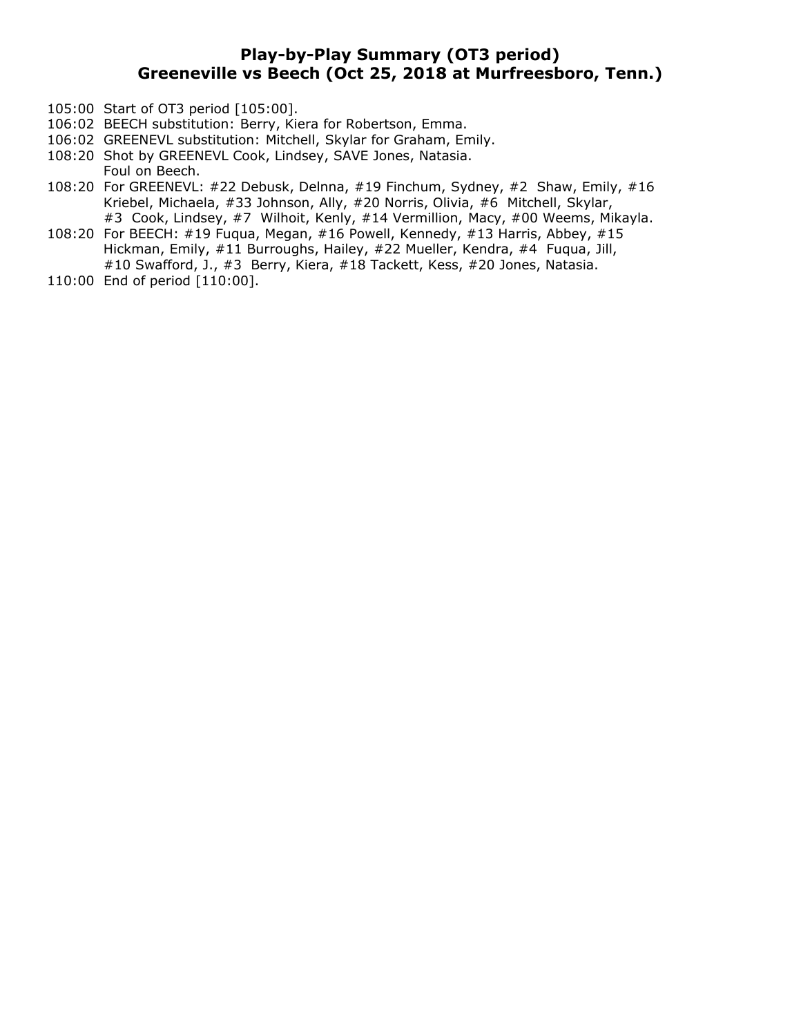# **Play-by-Play Summary (OT3 period) Greeneville vs Beech (Oct 25, 2018 at Murfreesboro, Tenn.)**

- 105:00 Start of OT3 period [105:00].
- 106:02 BEECH substitution: Berry, Kiera for Robertson, Emma.
- 106:02 GREENEVL substitution: Mitchell, Skylar for Graham, Emily.
- 108:20 Shot by GREENEVL Cook, Lindsey, SAVE Jones, Natasia.
- Foul on Beech.
- 108:20 For GREENEVL: #22 Debusk, Delnna, #19 Finchum, Sydney, #2 Shaw, Emily, #16 Kriebel, Michaela, #33 Johnson, Ally, #20 Norris, Olivia, #6 Mitchell, Skylar, #3 Cook, Lindsey, #7 Wilhoit, Kenly, #14 Vermillion, Macy, #00 Weems, Mikayla.
- 108:20 For BEECH: #19 Fuqua, Megan, #16 Powell, Kennedy, #13 Harris, Abbey, #15 Hickman, Emily, #11 Burroughs, Hailey, #22 Mueller, Kendra, #4 Fuqua, Jill, #10 Swafford, J., #3 Berry, Kiera, #18 Tackett, Kess, #20 Jones, Natasia.
- 110:00 End of period [110:00].